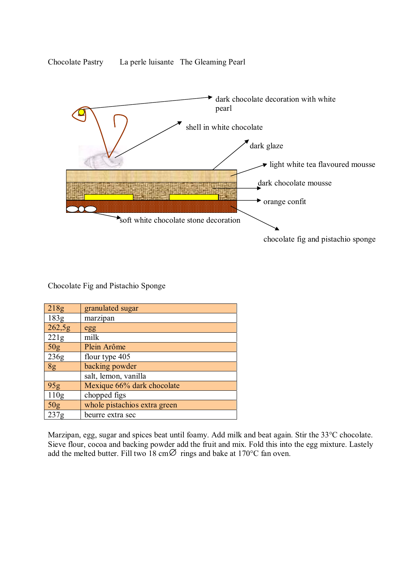# Chocolate Pastry La perle luisante The Gleaming Pearl



Chocolate Fig and Pistachio Sponge

| 218g            | granulated sugar             |
|-----------------|------------------------------|
| 183g            | marzipan                     |
| 262,5g          | egg                          |
| 221g            | milk                         |
| 50 <sub>g</sub> | Plein Arôme                  |
| 236g            | flour type 405               |
| 8g              | backing powder               |
|                 | salt, lemon, vanilla         |
| 95g             | Mexique 66% dark chocolate   |
| 110g            | chopped figs                 |
| 50g             | whole pistachios extra green |
| 237g            | beurre extra sec             |

Marzipan, egg, sugar and spices beat until foamy. Add milk and beat again. Stir the 33°C chocolate. Sieve flour, cocoa and backing powder add the fruit and mix. Fold this into the egg mixture. Lastely add the melted butter. Fill two 18 cm $\varnothing$  rings and bake at 170°C fan oven.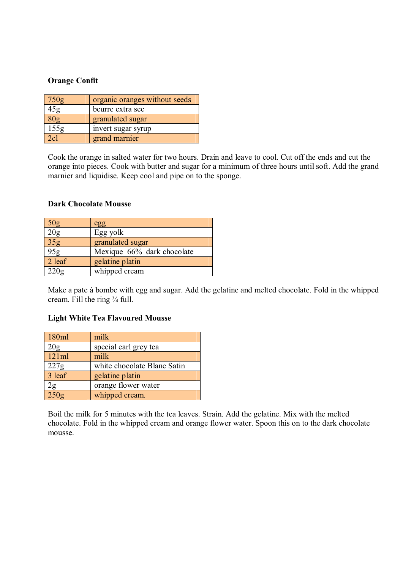## **Orange Confit**

| 750g | organic oranges without seeds |
|------|-------------------------------|
| 45ք  | beurre extra sec              |
|      | granulated sugar              |
| 155g | invert sugar syrup            |
| 2c1  | grand marnier                 |

Cook the orange in salted water for two hours. Drain and leave to cool. Cut off the ends and cut the orange into pieces. Cook with butter and sugar for a minimum of three hours until soft. Add the grand marnier and liquidise. Keep cool and pipe on to the sponge.

### **Dark Chocolate Mousse**

| 50 <sub>g</sub>  | egg                        |
|------------------|----------------------------|
| 20g              | Egg yolk                   |
| $\overline{35g}$ | granulated sugar           |
| 95g              | Mexique 66% dark chocolate |
| 2 leaf           | gelatine platin            |
| 220g             | whipped cream              |

Make a pate à bombe with egg and sugar. Add the gelatine and melted chocolate. Fold in the whipped cream. Fill the ring ¾ full.

### **Light White Tea Flavoured Mousse**

| 180ml  | milk                        |
|--------|-----------------------------|
| 20g    | special earl grey tea       |
| 121ml  | milk                        |
| 227g   | white chocolate Blanc Satin |
| 3 leaf | gelatine platin             |
| 2g     | orange flower water         |
| 250g   | whipped cream.              |

Boil the milk for 5 minutes with the tea leaves. Strain. Add the gelatine. Mix with the melted chocolate. Fold in the whipped cream and orange flower water. Spoon this on to the dark chocolate mousse.